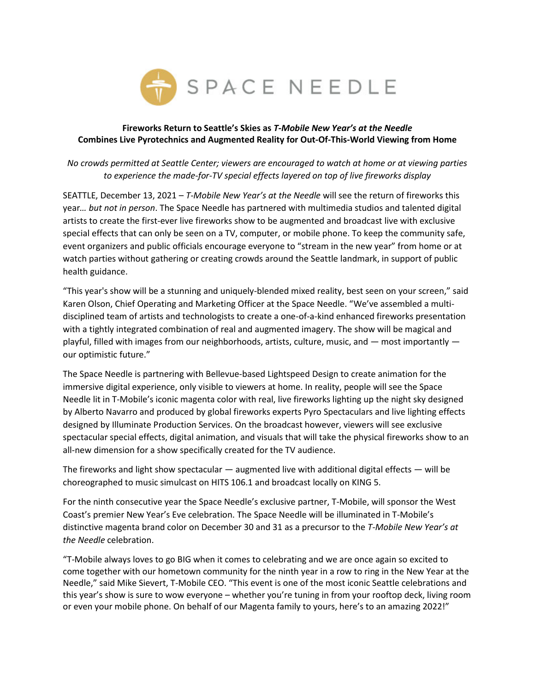

## **Fireworks Return to Seattle's Skies as** *T-Mobile New Year's at the Needle* **Combines Live Pyrotechnics and Augmented Reality for Out-Of-This-World Viewing from Home**

# *No crowds permitted at Seattle Center; viewers are encouraged to watch at home or at viewing parties to experience the made-for-TV special effects layered on top of live fireworks display*

SEATTLE, December 13, 2021 – *T-Mobile New Year's at the Needle* will see the return of fireworks this year*… but not in person*. The Space Needle has partnered with multimedia studios and talented digital artists to create the first-ever live fireworks show to be augmented and broadcast live with exclusive special effects that can only be seen on a TV, computer, or mobile phone. To keep the community safe, event organizers and public officials encourage everyone to "stream in the new year" from home or at watch parties without gathering or creating crowds around the Seattle landmark, in support of public health guidance.

"This year's show will be a stunning and uniquely-blended mixed reality, best seen on your screen," said Karen Olson, Chief Operating and Marketing Officer at the Space Needle. "We've assembled a multidisciplined team of artists and technologists to create a one-of-a-kind enhanced fireworks presentation with a tightly integrated combination of real and augmented imagery. The show will be magical and playful, filled with images from our neighborhoods, artists, culture, music, and — most importantly our optimistic future."

The Space Needle is partnering with Bellevue-based Lightspeed Design to create animation for the immersive digital experience, only visible to viewers at home. In reality, people will see the Space Needle lit in T-Mobile's iconic magenta color with real, live fireworks lighting up the night sky designed by Alberto Navarro and produced by global fireworks experts Pyro Spectaculars and live lighting effects designed by Illuminate Production Services. On the broadcast however, viewers will see exclusive spectacular special effects, digital animation, and visuals that will take the physical fireworks show to an all-new dimension for a show specifically created for the TV audience.

The fireworks and light show spectacular — augmented live with additional digital effects — will be choreographed to music simulcast on HITS 106.1 and broadcast locally on KING 5.

For the ninth consecutive year the Space Needle's exclusive partner, T-Mobile, will sponsor the West Coast's premier New Year's Eve celebration. The Space Needle will be illuminated in T-Mobile's distinctive magenta brand color on December 30 and 31 as a precursor to the *T-Mobile New Year's at the Needle* celebration.

"T-Mobile always loves to go BIG when it comes to celebrating and we are once again so excited to come together with our hometown community for the ninth year in a row to ring in the New Year at the Needle," said Mike Sievert, T-Mobile CEO. "This event is one of the most iconic Seattle celebrations and this year's show is sure to wow everyone – whether you're tuning in from your rooftop deck, living room or even your mobile phone. On behalf of our Magenta family to yours, here's to an amazing 2022!"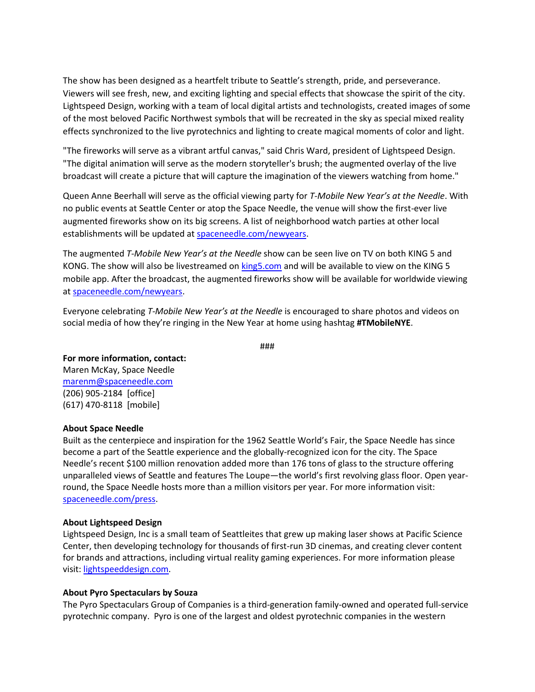The show has been designed as a heartfelt tribute to Seattle's strength, pride, and perseverance. Viewers will see fresh, new, and exciting lighting and special effects that showcase the spirit of the city. Lightspeed Design, working with a team of local digital artists and technologists, created images of some of the most beloved Pacific Northwest symbols that will be recreated in the sky as special mixed reality effects synchronized to the live pyrotechnics and lighting to create magical moments of color and light.

"The fireworks will serve as a vibrant artful canvas," said Chris Ward, president of Lightspeed Design. "The digital animation will serve as the modern storyteller's brush; the augmented overlay of the live broadcast will create a picture that will capture the imagination of the viewers watching from home."

Queen Anne Beerhall will serve as the official viewing party for *T-Mobile New Year's at the Needle*. With no public events at Seattle Center or atop the Space Needle, the venue will show the first-ever live augmented fireworks show on its big screens. A list of neighborhood watch parties at other local establishments will be updated at [spaceneedle.com/newyears.](https://www.spaceneedle.com/newyears)

The augmented *T-Mobile New Year's at the Needle* show can be seen live on TV on both KING 5 and KONG. The show will also be livestreamed on [king5.com](https://www.king5.com/) and will be available to view on the KING 5 mobile app. After the broadcast, the augmented fireworks show will be available for worldwide viewing a[t spaceneedle.com/newyears.](https://www.spaceneedle.com/newyears)

Everyone celebrating *T-Mobile New Year's at the Needle* is encouraged to share photos and videos on social media of how they're ringing in the New Year at home using hashtag **#TMobileNYE**.

###

#### **For more information, contact:**

Maren McKay, Space Needle [marenm@spaceneedle.com](mailto:marenm@spaceneedle.com?subject=Press%20Inquiry%20-%20New%20Year) (206) 905-2184 [office] (617) 470-8118 [mobile]

#### **About Space Needle**

Built as the centerpiece and inspiration for the 1962 Seattle World's Fair, the Space Needle has since become a part of the Seattle experience and the globally-recognized icon for the city. The Space Needle's recent \$100 million renovation added more than 176 tons of glass to the structure offering unparalleled views of Seattle and features The Loupe—the world's first revolving glass floor. Open yearround, the Space Needle hosts more than a million visitors per year. For more information visit: [spaceneedle.com/press.](http://www.spaceneedle.com/press)

### **About Lightspeed Design**

Lightspeed Design, Inc is a small team of Seattleites that grew up making laser shows at Pacific Science Center, then developing technology for thousands of first-run 3D cinemas, and creating clever content for brands and attractions, including virtual reality gaming experiences. For more information please visit[: lightspeeddesign.com.](https://www.lightspeeddesign.com/)

### **About Pyro Spectaculars by Souza**

The Pyro Spectaculars Group of Companies is a third-generation family-owned and operated full-service pyrotechnic company. Pyro is one of the largest and oldest pyrotechnic companies in the western